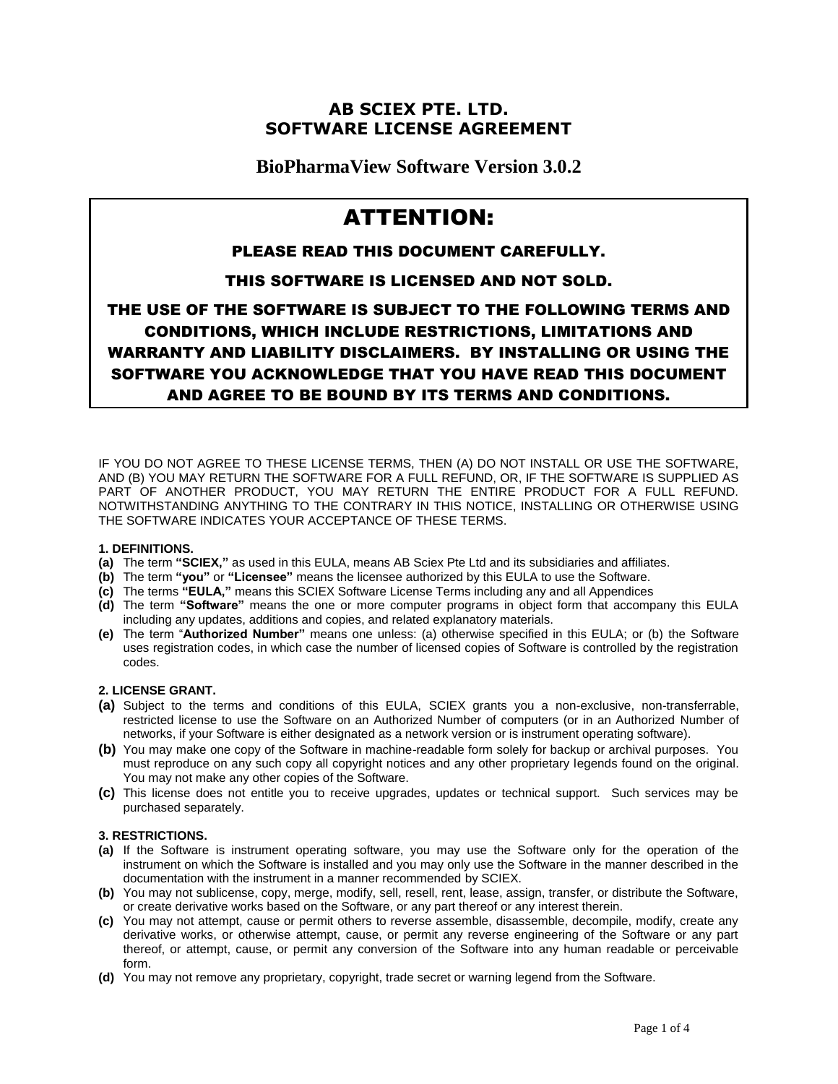# **AB SCIEX PTE. LTD. SOFTWARE LICENSE AGREEMENT**

**BioPharmaView Software Version 3.0.2**

# ATTENTION:

## PLEASE READ THIS DOCUMENT CAREFULLY.

## THIS SOFTWARE IS LICENSED AND NOT SOLD.

THE USE OF THE SOFTWARE IS SUBJECT TO THE FOLLOWING TERMS AND CONDITIONS, WHICH INCLUDE RESTRICTIONS, LIMITATIONS AND WARRANTY AND LIABILITY DISCLAIMERS. BY INSTALLING OR USING THE SOFTWARE YOU ACKNOWLEDGE THAT YOU HAVE READ THIS DOCUMENT AND AGREE TO BE BOUND BY ITS TERMS AND CONDITIONS.

IF YOU DO NOT AGREE TO THESE LICENSE TERMS, THEN (A) DO NOT INSTALL OR USE THE SOFTWARE, AND (B) YOU MAY RETURN THE SOFTWARE FOR A FULL REFUND, OR, IF THE SOFTWARE IS SUPPLIED AS PART OF ANOTHER PRODUCT, YOU MAY RETURN THE ENTIRE PRODUCT FOR A FULL REFUND. NOTWITHSTANDING ANYTHING TO THE CONTRARY IN THIS NOTICE, INSTALLING OR OTHERWISE USING THE SOFTWARE INDICATES YOUR ACCEPTANCE OF THESE TERMS.

### **1. DEFINITIONS.**

- **(a)** The term **"SCIEX,"** as used in this EULA, means AB Sciex Pte Ltd and its subsidiaries and affiliates.
- **(b)** The term **"you"** or **"Licensee"** means the licensee authorized by this EULA to use the Software.
- **(c)** The terms **"EULA,"** means this SCIEX Software License Terms including any and all Appendices
- **(d)** The term **"Software"** means the one or more computer programs in object form that accompany this EULA including any updates, additions and copies, and related explanatory materials.
- **(e)** The term "**Authorized Number"** means one unless: (a) otherwise specified in this EULA; or (b) the Software uses registration codes, in which case the number of licensed copies of Software is controlled by the registration codes.

## **2. LICENSE GRANT.**

- **(a)** Subject to the terms and conditions of this EULA, SCIEX grants you a non-exclusive, non-transferrable, restricted license to use the Software on an Authorized Number of computers (or in an Authorized Number of networks, if your Software is either designated as a network version or is instrument operating software).
- **(b)** You may make one copy of the Software in machine-readable form solely for backup or archival purposes. You must reproduce on any such copy all copyright notices and any other proprietary legends found on the original. You may not make any other copies of the Software.
- **(c)** This license does not entitle you to receive upgrades, updates or technical support. Such services may be purchased separately.

## **3. RESTRICTIONS.**

- **(a)** If the Software is instrument operating software, you may use the Software only for the operation of the instrument on which the Software is installed and you may only use the Software in the manner described in the documentation with the instrument in a manner recommended by SCIEX.
- **(b)** You may not sublicense, copy, merge, modify, sell, resell, rent, lease, assign, transfer, or distribute the Software, or create derivative works based on the Software, or any part thereof or any interest therein.
- **(c)** You may not attempt, cause or permit others to reverse assemble, disassemble, decompile, modify, create any derivative works, or otherwise attempt, cause, or permit any reverse engineering of the Software or any part thereof, or attempt, cause, or permit any conversion of the Software into any human readable or perceivable form.
- **(d)** You may not remove any proprietary, copyright, trade secret or warning legend from the Software.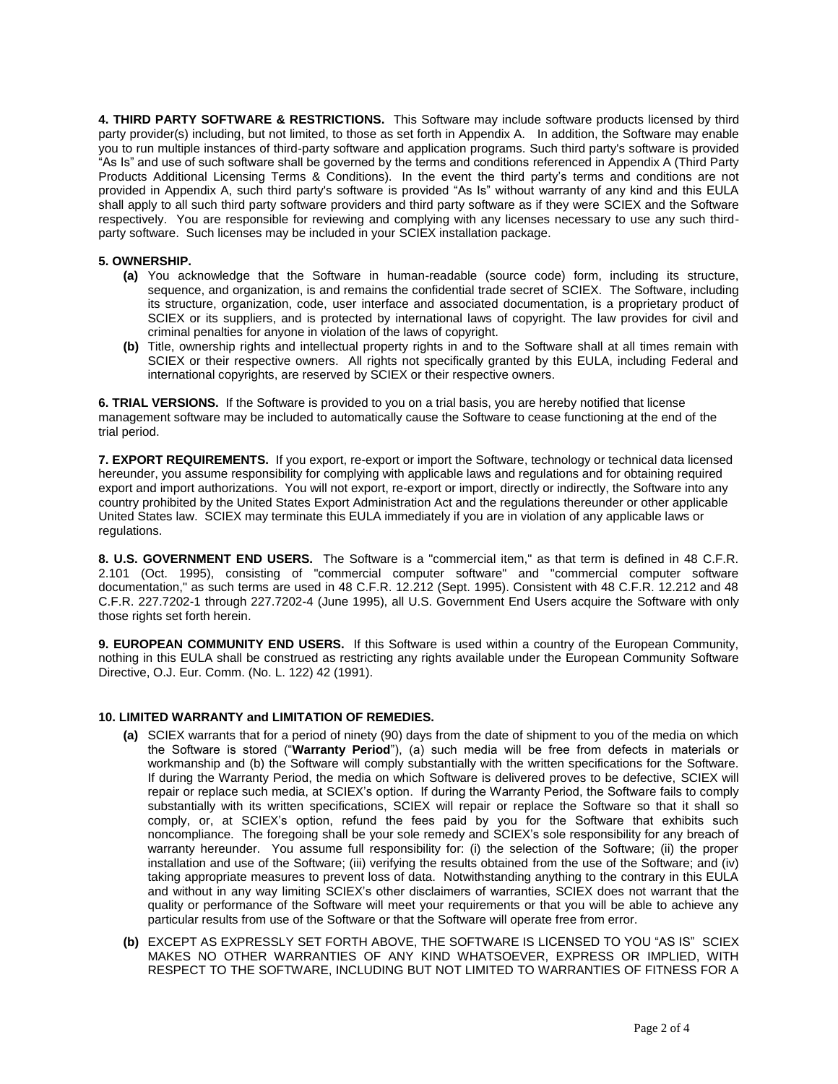**4. THIRD PARTY SOFTWARE & RESTRICTIONS.** This Software may include software products licensed by third party provider(s) including, but not limited, to those as set forth in Appendix A. In addition, the Software may enable you to run multiple instances of third-party software and application programs. Such third party's software is provided "As Is" and use of such software shall be governed by the terms and conditions referenced in Appendix A (Third Party Products Additional Licensing Terms & Conditions). In the event the third party's terms and conditions are not provided in Appendix A, such third party's software is provided "As Is" without warranty of any kind and this EULA shall apply to all such third party software providers and third party software as if they were SCIEX and the Software respectively. You are responsible for reviewing and complying with any licenses necessary to use any such thirdparty software. Such licenses may be included in your SCIEX installation package.

#### **5. OWNERSHIP.**

- **(a)** You acknowledge that the Software in human-readable (source code) form, including its structure, sequence, and organization, is and remains the confidential trade secret of SCIEX. The Software, including its structure, organization, code, user interface and associated documentation, is a proprietary product of SCIEX or its suppliers, and is protected by international laws of copyright. The law provides for civil and criminal penalties for anyone in violation of the laws of copyright.
- **(b)** Title, ownership rights and intellectual property rights in and to the Software shall at all times remain with SCIEX or their respective owners. All rights not specifically granted by this EULA, including Federal and international copyrights, are reserved by SCIEX or their respective owners.

**6. TRIAL VERSIONS.** If the Software is provided to you on a trial basis, you are hereby notified that license management software may be included to automatically cause the Software to cease functioning at the end of the trial period.

**7. EXPORT REQUIREMENTS.** If you export, re-export or import the Software, technology or technical data licensed hereunder, you assume responsibility for complying with applicable laws and regulations and for obtaining required export and import authorizations. You will not export, re-export or import, directly or indirectly, the Software into any country prohibited by the United States Export Administration Act and the regulations thereunder or other applicable United States law. SCIEX may terminate this EULA immediately if you are in violation of any applicable laws or regulations.

**8. U.S. GOVERNMENT END USERS.** The Software is a "commercial item," as that term is defined in 48 C.F.R. 2.101 (Oct. 1995), consisting of "commercial computer software" and "commercial computer software documentation," as such terms are used in 48 C.F.R. 12.212 (Sept. 1995). Consistent with 48 C.F.R. 12.212 and 48 C.F.R. 227.7202-1 through 227.7202-4 (June 1995), all U.S. Government End Users acquire the Software with only those rights set forth herein.

**9. EUROPEAN COMMUNITY END USERS.** If this Software is used within a country of the European Community, nothing in this EULA shall be construed as restricting any rights available under the European Community Software Directive, O.J. Eur. Comm. (No. L. 122) 42 (1991).

#### **10. LIMITED WARRANTY and LIMITATION OF REMEDIES.**

- **(a)** SCIEX warrants that for a period of ninety (90) days from the date of shipment to you of the media on which the Software is stored ("**Warranty Period**"), (a) such media will be free from defects in materials or workmanship and (b) the Software will comply substantially with the written specifications for the Software. If during the Warranty Period, the media on which Software is delivered proves to be defective, SCIEX will repair or replace such media, at SCIEX's option. If during the Warranty Period, the Software fails to comply substantially with its written specifications, SCIEX will repair or replace the Software so that it shall so comply, or, at SCIEX's option, refund the fees paid by you for the Software that exhibits such noncompliance. The foregoing shall be your sole remedy and SCIEX's sole responsibility for any breach of warranty hereunder. You assume full responsibility for: (i) the selection of the Software; (ii) the proper installation and use of the Software; (iii) verifying the results obtained from the use of the Software; and (iv) taking appropriate measures to prevent loss of data. Notwithstanding anything to the contrary in this EULA and without in any way limiting SCIEX's other disclaimers of warranties, SCIEX does not warrant that the quality or performance of the Software will meet your requirements or that you will be able to achieve any particular results from use of the Software or that the Software will operate free from error.
- **(b)** EXCEPT AS EXPRESSLY SET FORTH ABOVE, THE SOFTWARE IS LICENSED TO YOU "AS IS" SCIEX MAKES NO OTHER WARRANTIES OF ANY KIND WHATSOEVER, EXPRESS OR IMPLIED, WITH RESPECT TO THE SOFTWARE, INCLUDING BUT NOT LIMITED TO WARRANTIES OF FITNESS FOR A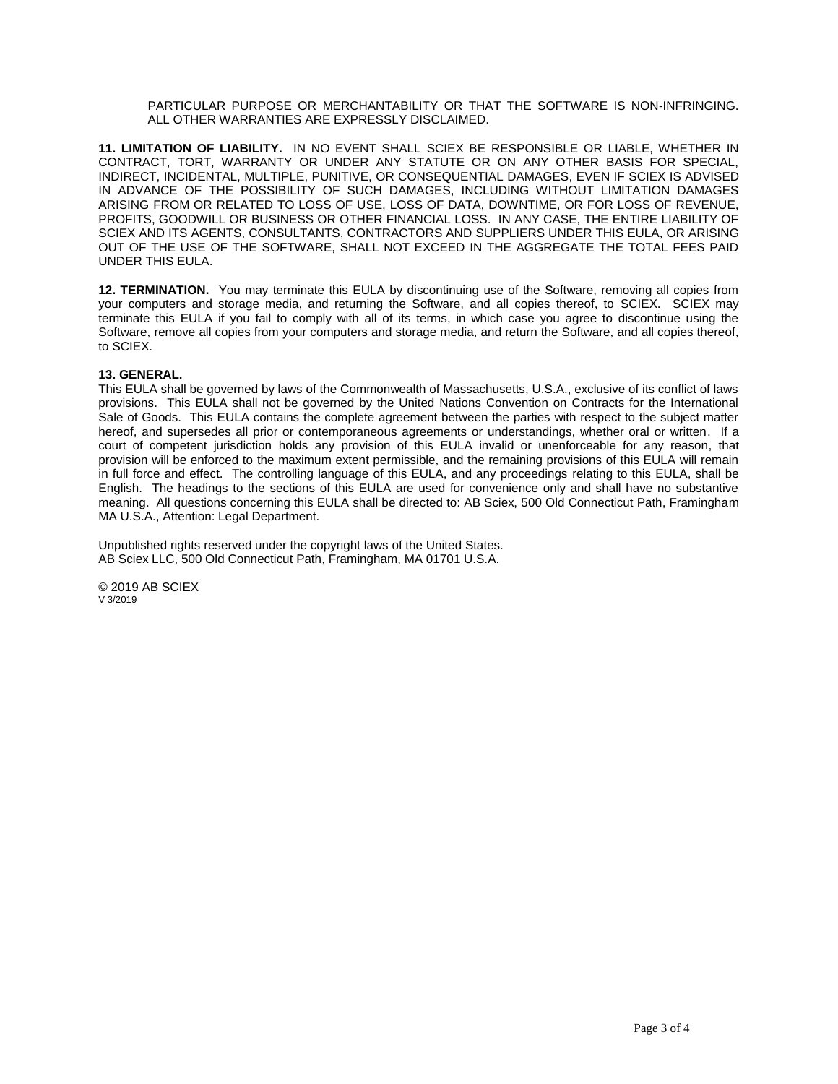PARTICULAR PURPOSE OR MERCHANTABILITY OR THAT THE SOFTWARE IS NON-INFRINGING. ALL OTHER WARRANTIES ARE EXPRESSLY DISCLAIMED.

**11. LIMITATION OF LIABILITY.** IN NO EVENT SHALL SCIEX BE RESPONSIBLE OR LIABLE, WHETHER IN CONTRACT, TORT, WARRANTY OR UNDER ANY STATUTE OR ON ANY OTHER BASIS FOR SPECIAL, INDIRECT, INCIDENTAL, MULTIPLE, PUNITIVE, OR CONSEQUENTIAL DAMAGES, EVEN IF SCIEX IS ADVISED IN ADVANCE OF THE POSSIBILITY OF SUCH DAMAGES, INCLUDING WITHOUT LIMITATION DAMAGES ARISING FROM OR RELATED TO LOSS OF USE, LOSS OF DATA, DOWNTIME, OR FOR LOSS OF REVENUE, PROFITS, GOODWILL OR BUSINESS OR OTHER FINANCIAL LOSS. IN ANY CASE, THE ENTIRE LIABILITY OF SCIEX AND ITS AGENTS, CONSULTANTS, CONTRACTORS AND SUPPLIERS UNDER THIS EULA, OR ARISING OUT OF THE USE OF THE SOFTWARE, SHALL NOT EXCEED IN THE AGGREGATE THE TOTAL FEES PAID UNDER THIS EULA.

**12. TERMINATION.** You may terminate this EULA by discontinuing use of the Software, removing all copies from your computers and storage media, and returning the Software, and all copies thereof, to SCIEX. SCIEX may terminate this EULA if you fail to comply with all of its terms, in which case you agree to discontinue using the Software, remove all copies from your computers and storage media, and return the Software, and all copies thereof, to SCIEX.

#### **13. GENERAL.**

This EULA shall be governed by laws of the Commonwealth of Massachusetts, U.S.A., exclusive of its conflict of laws provisions. This EULA shall not be governed by the United Nations Convention on Contracts for the International Sale of Goods. This EULA contains the complete agreement between the parties with respect to the subject matter hereof, and supersedes all prior or contemporaneous agreements or understandings, whether oral or written. If a court of competent jurisdiction holds any provision of this EULA invalid or unenforceable for any reason, that provision will be enforced to the maximum extent permissible, and the remaining provisions of this EULA will remain in full force and effect. The controlling language of this EULA, and any proceedings relating to this EULA, shall be English. The headings to the sections of this EULA are used for convenience only and shall have no substantive meaning. All questions concerning this EULA shall be directed to: AB Sciex, 500 Old Connecticut Path, Framingham MA U.S.A., Attention: Legal Department.

Unpublished rights reserved under the copyright laws of the United States. AB Sciex LLC, 500 Old Connecticut Path, Framingham, MA 01701 U.S.A.

© 2019 AB SCIEX V 3/2019